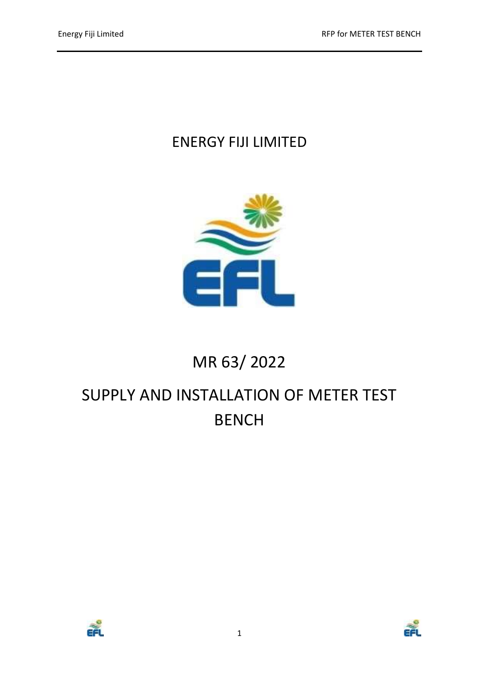# ENERGY FIJI LIMITED



# MR 63/ 2022

# SUPPLY AND INSTALLATION OF METER TEST BENCH



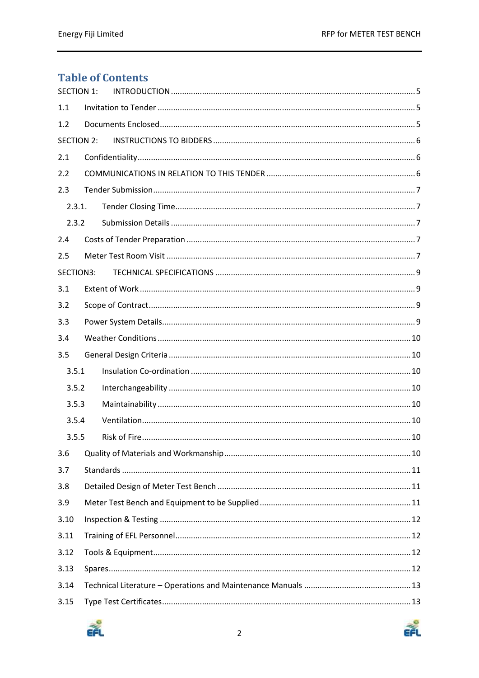# **Table of Contents**

| <b>SECTION 1:</b> |  |  |  |  |
|-------------------|--|--|--|--|
| 1.1               |  |  |  |  |
| 1.2               |  |  |  |  |
| <b>SECTION 2:</b> |  |  |  |  |
| 2.1               |  |  |  |  |
| 2.2               |  |  |  |  |
| 2.3               |  |  |  |  |
| 2.3.1.            |  |  |  |  |
| 2.3.2             |  |  |  |  |
| 2.4               |  |  |  |  |
| 2.5               |  |  |  |  |
| SECTION3:         |  |  |  |  |
| 3.1               |  |  |  |  |
| 3.2               |  |  |  |  |
| 3.3               |  |  |  |  |
| 3.4               |  |  |  |  |
| 3.5               |  |  |  |  |
| 3.5.1             |  |  |  |  |
| 3.5.2             |  |  |  |  |
| 3.5.3             |  |  |  |  |
| 3.5.4             |  |  |  |  |
| 3.5.5             |  |  |  |  |
| 3.6               |  |  |  |  |
| 3.7               |  |  |  |  |
| 3.8               |  |  |  |  |
| 3.9               |  |  |  |  |
| 3.10              |  |  |  |  |
| 3.11              |  |  |  |  |
| 3.12              |  |  |  |  |
| 3.13              |  |  |  |  |
| 3.14              |  |  |  |  |
| 3.15              |  |  |  |  |

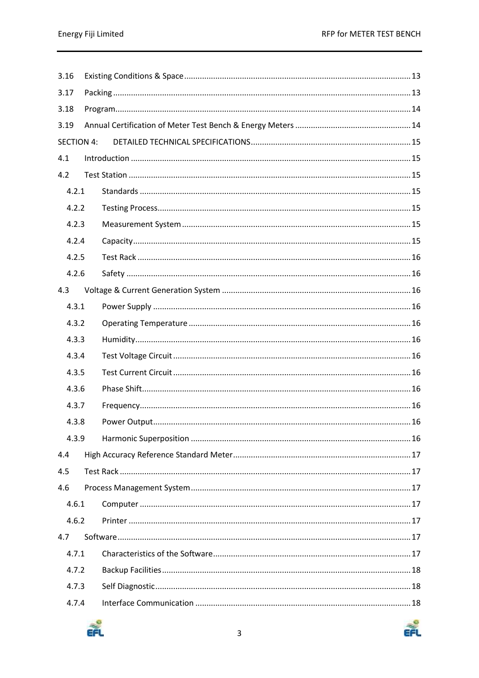| 3.16              |  |  |  |  |  |
|-------------------|--|--|--|--|--|
| 3.17              |  |  |  |  |  |
| 3.18              |  |  |  |  |  |
| 3.19              |  |  |  |  |  |
| <b>SECTION 4:</b> |  |  |  |  |  |
| 4.1               |  |  |  |  |  |
| 4.2               |  |  |  |  |  |
| 4.2.1             |  |  |  |  |  |
| 4.2.2             |  |  |  |  |  |
| 4.2.3             |  |  |  |  |  |
| 4.2.4             |  |  |  |  |  |
| 4.2.5             |  |  |  |  |  |
| 4.2.6             |  |  |  |  |  |
| 4.3               |  |  |  |  |  |
| 4.3.1             |  |  |  |  |  |
| 4.3.2             |  |  |  |  |  |
| 4.3.3             |  |  |  |  |  |
| 4.3.4             |  |  |  |  |  |
| 4.3.5             |  |  |  |  |  |
| 4.3.6             |  |  |  |  |  |
| 4.3.7             |  |  |  |  |  |
| 4.3.8             |  |  |  |  |  |
| 4.3.9             |  |  |  |  |  |
| 4.4               |  |  |  |  |  |
| 4.5               |  |  |  |  |  |
| 4.6               |  |  |  |  |  |
| 4.6.1             |  |  |  |  |  |
| 4.6.2             |  |  |  |  |  |
| 4.7               |  |  |  |  |  |
| 4.7.1             |  |  |  |  |  |
| 4.7.2             |  |  |  |  |  |
| 4.7.3             |  |  |  |  |  |
| 4.7.4             |  |  |  |  |  |

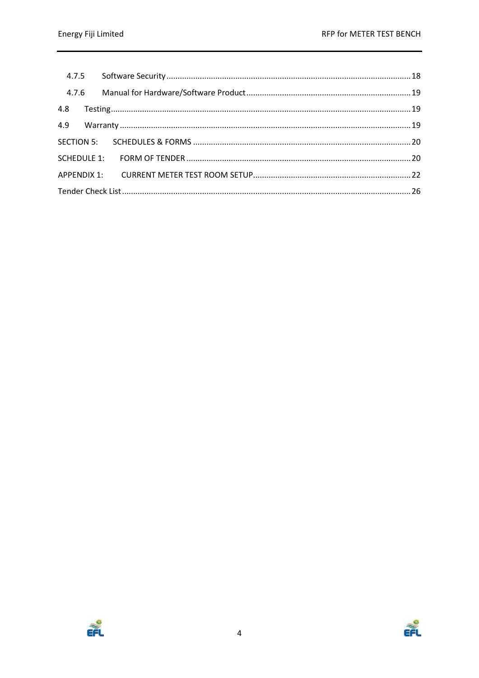| 4.7.6 |  |  |
|-------|--|--|
| 4.8   |  |  |
| 4.9   |  |  |
|       |  |  |
|       |  |  |
|       |  |  |
|       |  |  |



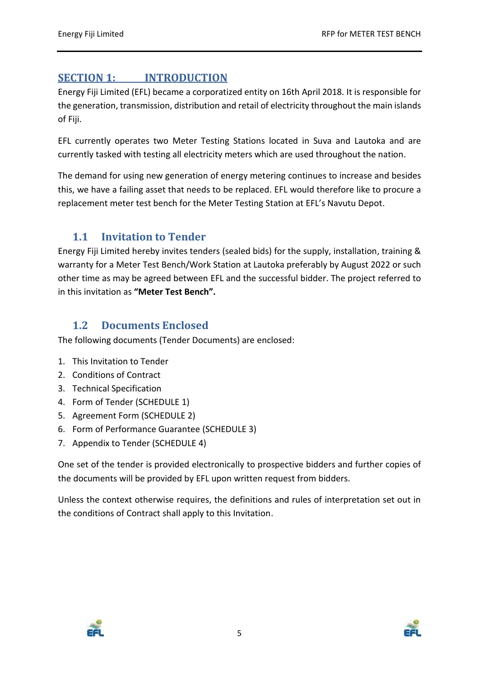# <span id="page-4-0"></span>**SECTION 1: INTRODUCTION**

Energy Fiji Limited (EFL) became a corporatized entity on 16th April 2018. It is responsible for the generation, transmission, distribution and retail of electricity throughout the main islands of Fiji.

EFL currently operates two Meter Testing Stations located in Suva and Lautoka and are currently tasked with testing all electricity meters which are used throughout the nation.

The demand for using new generation of energy metering continues to increase and besides this, we have a failing asset that needs to be replaced. EFL would therefore like to procure a replacement meter test bench for the Meter Testing Station at EFL's Navutu Depot.

# <span id="page-4-1"></span>**1.1 Invitation to Tender**

Energy Fiji Limited hereby invites tenders (sealed bids) for the supply, installation, training & warranty for a Meter Test Bench/Work Station at Lautoka preferably by August 2022 or such other time as may be agreed between EFL and the successful bidder. The project referred to in this invitation as **"Meter Test Bench".**

# <span id="page-4-2"></span>**1.2 Documents Enclosed**

The following documents (Tender Documents) are enclosed:

- 1. This Invitation to Tender
- 2. Conditions of Contract
- 3. Technical Specification
- 4. Form of Tender (SCHEDULE 1)
- 5. Agreement Form (SCHEDULE 2)
- 6. Form of Performance Guarantee (SCHEDULE 3)
- 7. Appendix to Tender (SCHEDULE 4)

One set of the tender is provided electronically to prospective bidders and further copies of the documents will be provided by EFL upon written request from bidders.

Unless the context otherwise requires, the definitions and rules of interpretation set out in the conditions of Contract shall apply to this Invitation.



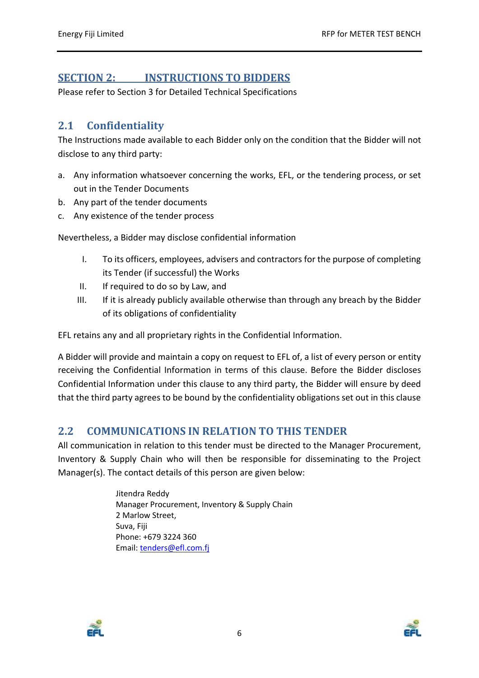# <span id="page-5-0"></span>**SECTION 2: INSTRUCTIONS TO BIDDERS**

Please refer to Section 3 for Detailed Technical Specifications

# <span id="page-5-1"></span>**2.1 Confidentiality**

The Instructions made available to each Bidder only on the condition that the Bidder will not disclose to any third party:

- a. Any information whatsoever concerning the works, EFL, or the tendering process, or set out in the Tender Documents
- b. Any part of the tender documents
- c. Any existence of the tender process

Nevertheless, a Bidder may disclose confidential information

- I. To its officers, employees, advisers and contractors for the purpose of completing its Tender (if successful) the Works
- II. If required to do so by Law, and
- III. If it is already publicly available otherwise than through any breach by the Bidder of its obligations of confidentiality

EFL retains any and all proprietary rights in the Confidential Information.

A Bidder will provide and maintain a copy on request to EFL of, a list of every person or entity receiving the Confidential Information in terms of this clause. Before the Bidder discloses Confidential Information under this clause to any third party, the Bidder will ensure by deed that the third party agrees to be bound by the confidentiality obligations set out in this clause

## <span id="page-5-2"></span>**2.2 COMMUNICATIONS IN RELATION TO THIS TENDER**

All communication in relation to this tender must be directed to the Manager Procurement, Inventory & Supply Chain who will then be responsible for disseminating to the Project Manager(s). The contact details of this person are given below:

> Jitendra Reddy Manager Procurement, Inventory & Supply Chain 2 Marlow Street, Suva, Fiji Phone: +679 3224 360 Email: [tenders@efl.com.fj](mailto:tenders@efl.com.fj)



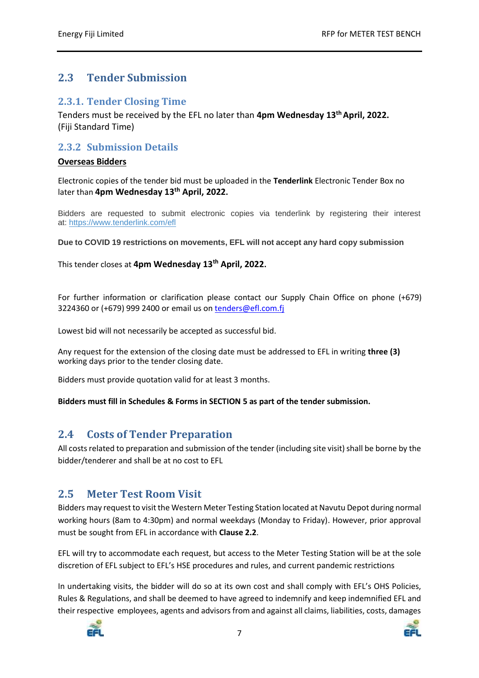# <span id="page-6-0"></span>**2.3 Tender Submission**

#### <span id="page-6-1"></span>**2.3.1. Tender Closing Time**

Tenders must be received by the EFL no later than **4pm Wednesday 13th April, 2022.** (Fiji Standard Time)

## <span id="page-6-2"></span>**2.3.2 Submission Details**

#### **Overseas Bidders**

Electronic copies of the tender bid must be uploaded in the **Tenderlink** Electronic Tender Box no later than **4pm Wednesday 13th April, 2022.**

Bidders are requested to submit electronic copies via tenderlink by registering their interest at: <https://www.tenderlink.com/efl>

**Due to COVID 19 restrictions on movements, EFL will not accept any hard copy submission** 

This tender closes at **4pm Wednesday 13th April, 2022.**

For further information or clarification please contact our Supply Chain Office on phone (+679) 3224360 or (+679) 999 2400 or email us on [tenders@efl.com.fj](mailto:tenders@efl.com.fj)

Lowest bid will not necessarily be accepted as successful bid.

Any request for the extension of the closing date must be addressed to EFL in writing **three (3)** working days prior to the tender closing date.

Bidders must provide quotation valid for at least 3 months.

**Bidders must fill in Schedules & Forms in SECTION 5 as part of the tender submission.**

## <span id="page-6-3"></span>**2.4 Costs of Tender Preparation**

All costs related to preparation and submission of the tender (including site visit) shall be borne by the bidder/tenderer and shall be at no cost to EFL

## <span id="page-6-4"></span>**2.5 Meter Test Room Visit**

Bidders may request to visit the Western Meter Testing Station located at Navutu Depot during normal working hours (8am to 4:30pm) and normal weekdays (Monday to Friday). However, prior approval must be sought from EFL in accordance with **Clause 2.2**.

EFL will try to accommodate each request, but access to the Meter Testing Station will be at the sole discretion of EFL subject to EFL's HSE procedures and rules, and current pandemic restrictions

In undertaking visits, the bidder will do so at its own cost and shall comply with EFL's OHS Policies, Rules & Regulations, and shall be deemed to have agreed to indemnify and keep indemnified EFL and their respective employees, agents and advisors from and against all claims, liabilities, costs, damages



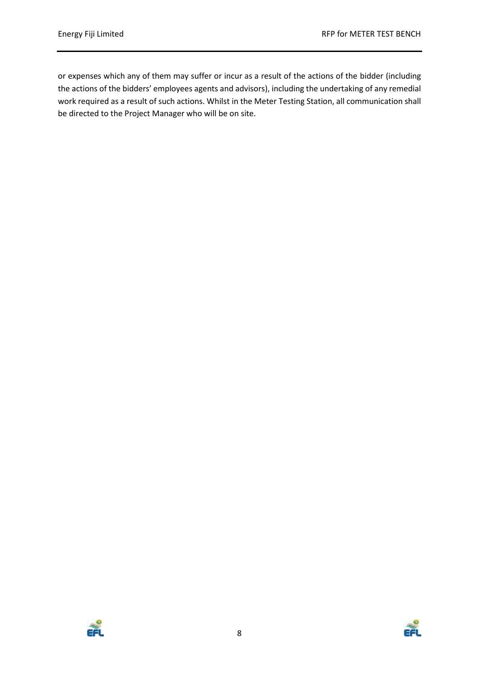or expenses which any of them may suffer or incur as a result of the actions of the bidder (including the actions of the bidders' employees agents and advisors), including the undertaking of any remedial work required as a result of such actions. Whilst in the Meter Testing Station, all communication shall be directed to the Project Manager who will be on site.



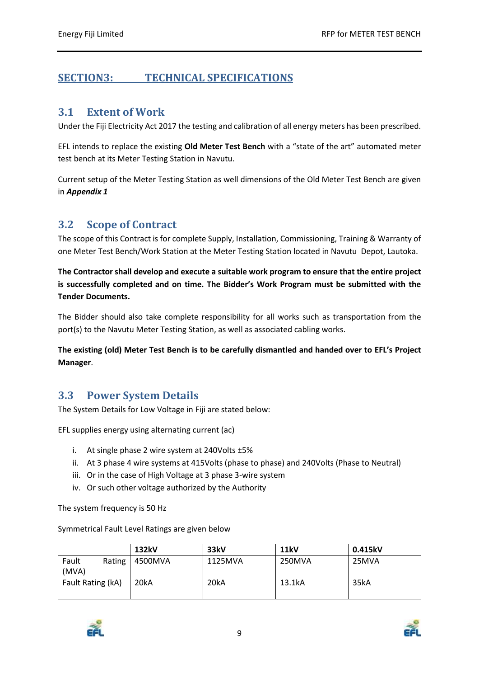# <span id="page-8-1"></span><span id="page-8-0"></span>**SECTION3: TECHNICAL SPECIFICATIONS**

#### **3.1 Extent of Work**

Under the Fiji Electricity Act 2017 the testing and calibration of all energy meters has been prescribed.

EFL intends to replace the existing **Old Meter Test Bench** with a "state of the art" automated meter test bench at its Meter Testing Station in Navutu.

Current setup of the Meter Testing Station as well dimensions of the Old Meter Test Bench are given in *Appendix 1*

## <span id="page-8-2"></span>**3.2 Scope of Contract**

The scope of this Contract is for complete Supply, Installation, Commissioning, Training & Warranty of one Meter Test Bench/Work Station at the Meter Testing Station located in Navutu Depot, Lautoka.

**The Contractor shall develop and execute a suitable work program to ensure that the entire project is successfully completed and on time. The Bidder's Work Program must be submitted with the Tender Documents.**

The Bidder should also take complete responsibility for all works such as transportation from the port(s) to the Navutu Meter Testing Station, as well as associated cabling works.

**The existing (old) Meter Test Bench is to be carefully dismantled and handed over to EFL's Project Manager**.

## <span id="page-8-3"></span>**3.3 Power System Details**

The System Details for Low Voltage in Fiji are stated below:

EFL supplies energy using alternating current (ac)

- i. At single phase 2 wire system at 240Volts ±5%
- ii. At 3 phase 4 wire systems at 415Volts (phase to phase) and 240Volts (Phase to Neutral)
- iii. Or in the case of High Voltage at 3 phase 3-wire system
- iv. Or such other voltage authorized by the Authority

The system frequency is 50 Hz

Symmetrical Fault Level Ratings are given below

|                   |        | 132kV   | 33kV    | <b>11kV</b> | 0.415kV |
|-------------------|--------|---------|---------|-------------|---------|
| Fault<br>(MVA)    | Rating | 4500MVA | 1125MVA | 250MVA      | 25MVA   |
| Fault Rating (kA) |        | 20kA    | 20kA    | 13.1kA      | 35kA    |



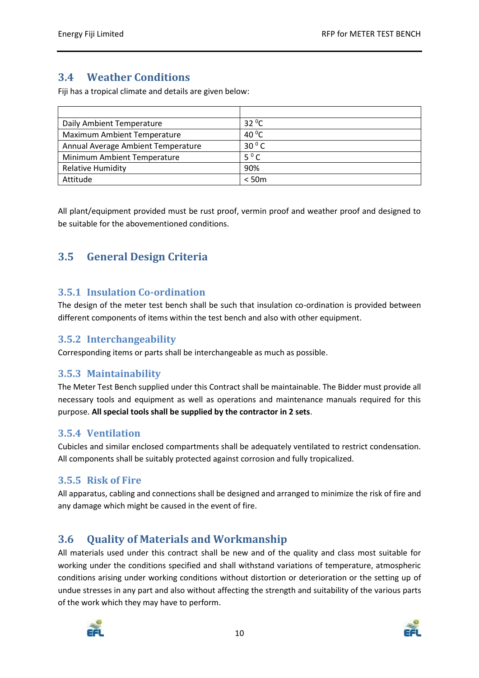# <span id="page-9-0"></span>**3.4 Weather Conditions**

Fiji has a tropical climate and details are given below:

| Daily Ambient Temperature          | $32^{\circ}$ C  |
|------------------------------------|-----------------|
| <b>Maximum Ambient Temperature</b> | 40 $^{\circ}$ C |
| Annual Average Ambient Temperature | $30^{\circ}$ C  |
| Minimum Ambient Temperature        | $5^{\circ}$ C   |
| <b>Relative Humidity</b>           | 90%             |
| Attitude                           | < 50m           |

All plant/equipment provided must be rust proof, vermin proof and weather proof and designed to be suitable for the abovementioned conditions.

# <span id="page-9-1"></span>**3.5 General Design Criteria**

#### <span id="page-9-2"></span>**3.5.1 Insulation Co-ordination**

The design of the meter test bench shall be such that insulation co-ordination is provided between different components of items within the test bench and also with other equipment.

#### <span id="page-9-3"></span>**3.5.2 Interchangeability**

Corresponding items or parts shall be interchangeable as much as possible.

## <span id="page-9-4"></span>**3.5.3 Maintainability**

The Meter Test Bench supplied under this Contract shall be maintainable. The Bidder must provide all necessary tools and equipment as well as operations and maintenance manuals required for this purpose. **All special tools shall be supplied by the contractor in 2 sets**.

## <span id="page-9-5"></span>**3.5.4 Ventilation**

Cubicles and similar enclosed compartments shall be adequately ventilated to restrict condensation. All components shall be suitably protected against corrosion and fully tropicalized.

## <span id="page-9-6"></span>**3.5.5 Risk of Fire**

All apparatus, cabling and connections shall be designed and arranged to minimize the risk of fire and any damage which might be caused in the event of fire.

## <span id="page-9-7"></span>**3.6 Quality of Materials and Workmanship**

All materials used under this contract shall be new and of the quality and class most suitable for working under the conditions specified and shall withstand variations of temperature, atmospheric conditions arising under working conditions without distortion or deterioration or the setting up of undue stresses in any part and also without affecting the strength and suitability of the various parts of the work which they may have to perform.

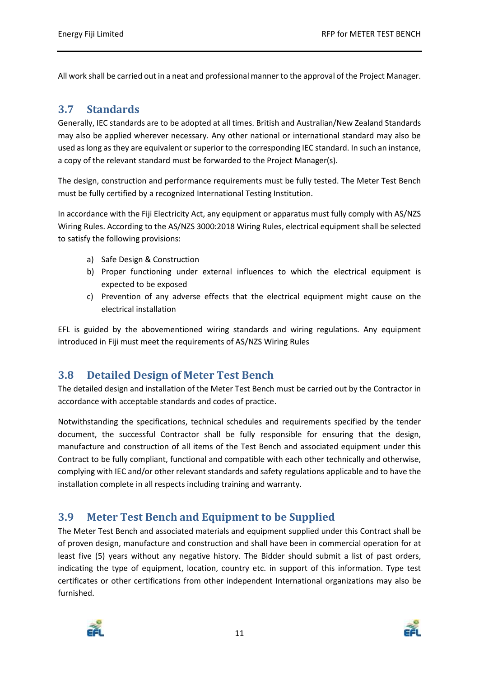All work shall be carried out in a neat and professional manner to the approval of the Project Manager.

## <span id="page-10-0"></span>**3.7 Standards**

Generally, IEC standards are to be adopted at all times. British and Australian/New Zealand Standards may also be applied wherever necessary. Any other national or international standard may also be used as long as they are equivalent or superior to the corresponding IEC standard. In such an instance, a copy of the relevant standard must be forwarded to the Project Manager(s).

The design, construction and performance requirements must be fully tested. The Meter Test Bench must be fully certified by a recognized International Testing Institution.

In accordance with the Fiji Electricity Act, any equipment or apparatus must fully comply with AS/NZS Wiring Rules. According to the AS/NZS 3000:2018 Wiring Rules, electrical equipment shall be selected to satisfy the following provisions:

- a) Safe Design & Construction
- b) Proper functioning under external influences to which the electrical equipment is expected to be exposed
- c) Prevention of any adverse effects that the electrical equipment might cause on the electrical installation

EFL is guided by the abovementioned wiring standards and wiring regulations. Any equipment introduced in Fiji must meet the requirements of AS/NZS Wiring Rules

## <span id="page-10-1"></span>**3.8 Detailed Design of Meter Test Bench**

The detailed design and installation of the Meter Test Bench must be carried out by the Contractor in accordance with acceptable standards and codes of practice.

Notwithstanding the specifications, technical schedules and requirements specified by the tender document, the successful Contractor shall be fully responsible for ensuring that the design, manufacture and construction of all items of the Test Bench and associated equipment under this Contract to be fully compliant, functional and compatible with each other technically and otherwise, complying with IEC and/or other relevant standards and safety regulations applicable and to have the installation complete in all respects including training and warranty.

## <span id="page-10-2"></span>**3.9 Meter Test Bench and Equipment to be Supplied**

The Meter Test Bench and associated materials and equipment supplied under this Contract shall be of proven design, manufacture and construction and shall have been in commercial operation for at least five (5) years without any negative history. The Bidder should submit a list of past orders, indicating the type of equipment, location, country etc. in support of this information. Type test certificates or other certifications from other independent International organizations may also be furnished.



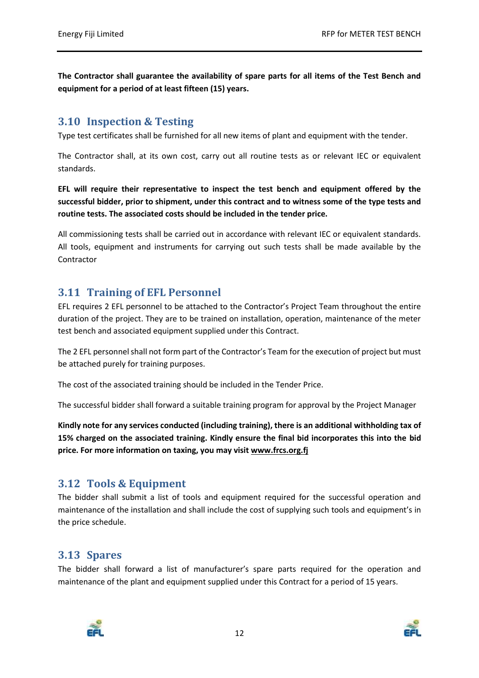**The Contractor shall guarantee the availability of spare parts for all items of the Test Bench and equipment for a period of at least fifteen (15) years.**

## <span id="page-11-0"></span>**3.10 Inspection & Testing**

Type test certificates shall be furnished for all new items of plant and equipment with the tender.

The Contractor shall, at its own cost, carry out all routine tests as or relevant IEC or equivalent standards.

**EFL will require their representative to inspect the test bench and equipment offered by the successful bidder, prior to shipment, under this contract and to witness some of the type tests and routine tests. The associated costs should be included in the tender price.**

All commissioning tests shall be carried out in accordance with relevant IEC or equivalent standards. All tools, equipment and instruments for carrying out such tests shall be made available by the Contractor

## <span id="page-11-1"></span>**3.11 Training of EFL Personnel**

EFL requires 2 EFL personnel to be attached to the Contractor's Project Team throughout the entire duration of the project. They are to be trained on installation, operation, maintenance of the meter test bench and associated equipment supplied under this Contract.

The 2 EFL personnel shall not form part of the Contractor's Team for the execution of project but must be attached purely for training purposes.

The cost of the associated training should be included in the Tender Price.

The successful bidder shall forward a suitable training program for approval by the Project Manager

**Kindly note for any services conducted (including training), there is an additional withholding tax of 15% charged on the associated training. Kindly ensure the final bid incorporates this into the bid price. For more information on taxing, you may visit [www.frcs.org.fj](http://www.frcs.org.fj/)**

## <span id="page-11-2"></span>**3.12 Tools & Equipment**

The bidder shall submit a list of tools and equipment required for the successful operation and maintenance of the installation and shall include the cost of supplying such tools and equipment's in the price schedule.

## <span id="page-11-3"></span>**3.13 Spares**

The bidder shall forward a list of manufacturer's spare parts required for the operation and maintenance of the plant and equipment supplied under this Contract for a period of 15 years.



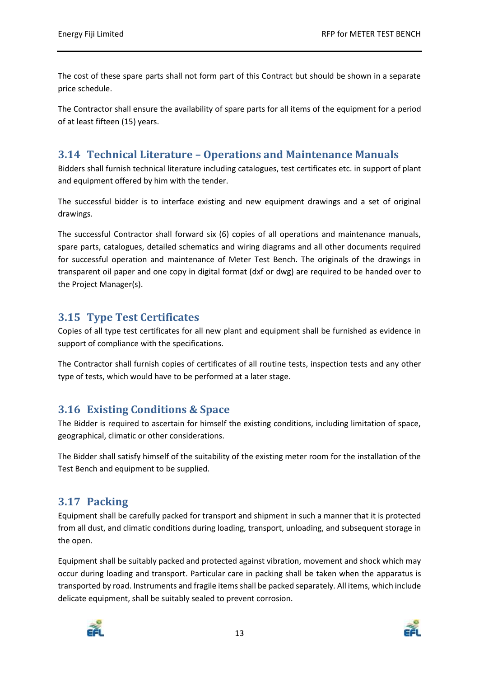The cost of these spare parts shall not form part of this Contract but should be shown in a separate price schedule.

The Contractor shall ensure the availability of spare parts for all items of the equipment for a period of at least fifteen (15) years.

## <span id="page-12-0"></span>**3.14 Technical Literature – Operations and Maintenance Manuals**

Bidders shall furnish technical literature including catalogues, test certificates etc. in support of plant and equipment offered by him with the tender.

The successful bidder is to interface existing and new equipment drawings and a set of original drawings.

The successful Contractor shall forward six (6) copies of all operations and maintenance manuals, spare parts, catalogues, detailed schematics and wiring diagrams and all other documents required for successful operation and maintenance of Meter Test Bench. The originals of the drawings in transparent oil paper and one copy in digital format (dxf or dwg) are required to be handed over to the Project Manager(s).

## <span id="page-12-1"></span>**3.15 Type Test Certificates**

Copies of all type test certificates for all new plant and equipment shall be furnished as evidence in support of compliance with the specifications.

The Contractor shall furnish copies of certificates of all routine tests, inspection tests and any other type of tests, which would have to be performed at a later stage.

## <span id="page-12-2"></span>**3.16 Existing Conditions & Space**

The Bidder is required to ascertain for himself the existing conditions, including limitation of space, geographical, climatic or other considerations.

The Bidder shall satisfy himself of the suitability of the existing meter room for the installation of the Test Bench and equipment to be supplied.

## <span id="page-12-3"></span>**3.17 Packing**

Equipment shall be carefully packed for transport and shipment in such a manner that it is protected from all dust, and climatic conditions during loading, transport, unloading, and subsequent storage in the open.

Equipment shall be suitably packed and protected against vibration, movement and shock which may occur during loading and transport. Particular care in packing shall be taken when the apparatus is transported by road. Instruments and fragile items shall be packed separately. All items, which include delicate equipment, shall be suitably sealed to prevent corrosion.



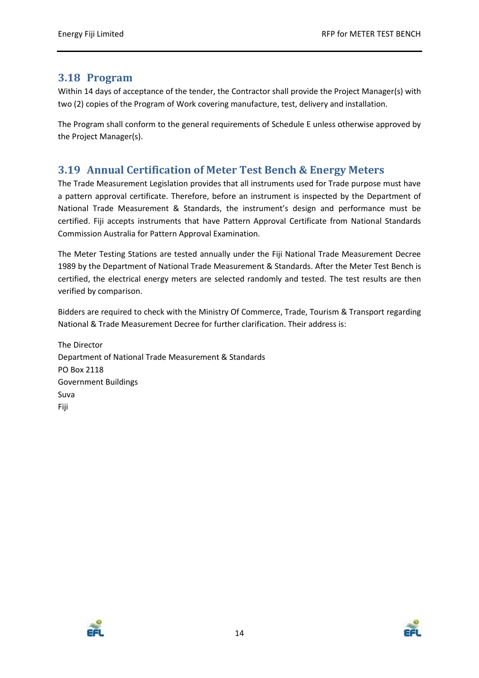## <span id="page-13-0"></span>**3.18 Program**

Within 14 days of acceptance of the tender, the Contractor shall provide the Project Manager(s) with two (2) copies of the Program of Work covering manufacture, test, delivery and installation.

The Program shall conform to the general requirements of Schedule E unless otherwise approved by the Project Manager(s).

## <span id="page-13-1"></span>**3.19 Annual Certification of Meter Test Bench & Energy Meters**

The Trade Measurement Legislation provides that all instruments used for Trade purpose must have a pattern approval certificate. Therefore, before an instrument is inspected by the Department of National Trade Measurement & Standards, the instrument's design and performance must be certified. Fiji accepts instruments that have Pattern Approval Certificate from National Standards Commission Australia for Pattern Approval Examination.

The Meter Testing Stations are tested annually under the Fiji National Trade Measurement Decree 1989 by the Department of National Trade Measurement & Standards. After the Meter Test Bench is certified, the electrical energy meters are selected randomly and tested. The test results are then verified by comparison.

Bidders are required to check with the Ministry Of Commerce, Trade, Tourism & Transport regarding National & Trade Measurement Decree for further clarification. Their address is:

The Director Department of National Trade Measurement & Standards PO Box 2118 Government Buildings Suva Fiji



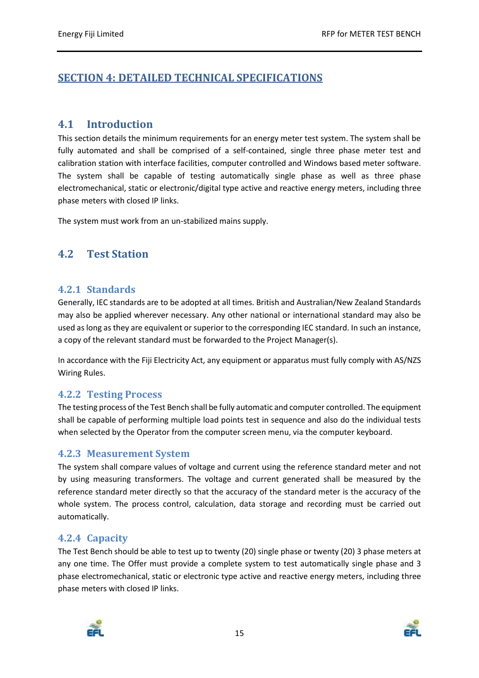# <span id="page-14-0"></span>**SECTION 4: DETAILED TECHNICAL SPECIFICATIONS**

## <span id="page-14-1"></span>**4.1 Introduction**

This section details the minimum requirements for an energy meter test system. The system shall be fully automated and shall be comprised of a self-contained, single three phase meter test and calibration station with interface facilities, computer controlled and Windows based meter software. The system shall be capable of testing automatically single phase as well as three phase electromechanical, static or electronic/digital type active and reactive energy meters, including three phase meters with closed IP links.

The system must work from an un-stabilized mains supply.

## <span id="page-14-2"></span>**4.2 Test Station**

#### <span id="page-14-3"></span>**4.2.1 Standards**

Generally, IEC standards are to be adopted at all times. British and Australian/New Zealand Standards may also be applied wherever necessary. Any other national or international standard may also be used as long as they are equivalent or superior to the corresponding IEC standard. In such an instance, a copy of the relevant standard must be forwarded to the Project Manager(s).

In accordance with the Fiji Electricity Act, any equipment or apparatus must fully comply with AS/NZS Wiring Rules.

#### <span id="page-14-4"></span>**4.2.2 Testing Process**

The testing process of the Test Bench shall be fully automatic and computer controlled. The equipment shall be capable of performing multiple load points test in sequence and also do the individual tests when selected by the Operator from the computer screen menu, via the computer keyboard.

#### <span id="page-14-5"></span>**4.2.3 Measurement System**

The system shall compare values of voltage and current using the reference standard meter and not by using measuring transformers. The voltage and current generated shall be measured by the reference standard meter directly so that the accuracy of the standard meter is the accuracy of the whole system. The process control, calculation, data storage and recording must be carried out automatically.

#### <span id="page-14-6"></span>**4.2.4 Capacity**

The Test Bench should be able to test up to twenty (20) single phase or twenty (20) 3 phase meters at any one time. The Offer must provide a complete system to test automatically single phase and 3 phase electromechanical, static or electronic type active and reactive energy meters, including three phase meters with closed IP links.



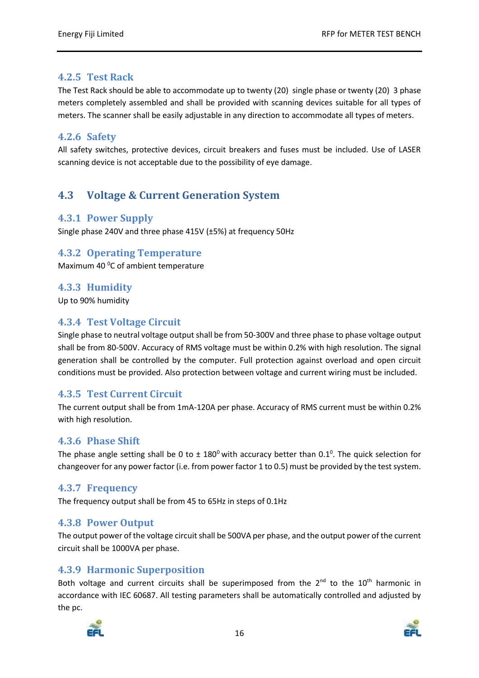### <span id="page-15-0"></span>**4.2.5 Test Rack**

The Test Rack should be able to accommodate up to twenty (20) single phase or twenty (20) 3 phase meters completely assembled and shall be provided with scanning devices suitable for all types of meters. The scanner shall be easily adjustable in any direction to accommodate all types of meters.

### <span id="page-15-1"></span>**4.2.6 Safety**

All safety switches, protective devices, circuit breakers and fuses must be included. Use of LASER scanning device is not acceptable due to the possibility of eye damage.

# <span id="page-15-2"></span>**4.3 Voltage & Current Generation System**

#### <span id="page-15-3"></span>**4.3.1 Power Supply**

Single phase 240V and three phase 415V (±5%) at frequency 50Hz

#### <span id="page-15-4"></span>**4.3.2 Operating Temperature**

Maximum 40<sup>°</sup>C of ambient temperature

### <span id="page-15-5"></span>**4.3.3 Humidity**

Up to 90% humidity

#### <span id="page-15-6"></span>**4.3.4 Test Voltage Circuit**

Single phase to neutral voltage output shall be from 50-300V and three phase to phase voltage output shall be from 80-500V. Accuracy of RMS voltage must be within 0.2% with high resolution. The signal generation shall be controlled by the computer. Full protection against overload and open circuit conditions must be provided. Also protection between voltage and current wiring must be included.

## <span id="page-15-7"></span>**4.3.5 Test Current Circuit**

The current output shall be from 1mA-120A per phase. Accuracy of RMS current must be within 0.2% with high resolution.

#### <span id="page-15-8"></span>**4.3.6 Phase Shift**

The phase angle setting shall be 0 to  $\pm$  180<sup>0</sup> with accuracy better than 0.1<sup>0</sup>. The quick selection for changeover for any power factor (i.e. from power factor 1 to 0.5) must be provided by the test system.

#### <span id="page-15-9"></span>**4.3.7 Frequency**

The frequency output shall be from 45 to 65Hz in steps of 0.1Hz

#### <span id="page-15-10"></span>**4.3.8 Power Output**

The output power of the voltage circuit shall be 500VA per phase, and the output power of the current circuit shall be 1000VA per phase.

#### <span id="page-15-11"></span>**4.3.9 Harmonic Superposition**

Both voltage and current circuits shall be superimposed from the  $2^{nd}$  to the  $10^{th}$  harmonic in accordance with IEC 60687. All testing parameters shall be automatically controlled and adjusted by the pc.



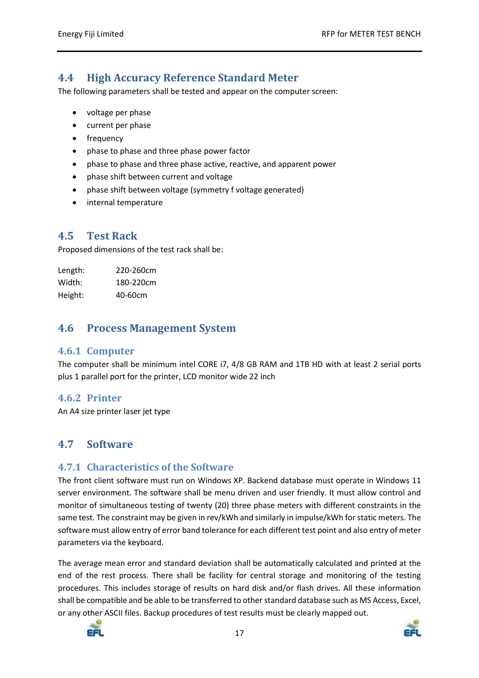## <span id="page-16-0"></span>**4.4 High Accuracy Reference Standard Meter**

The following parameters shall be tested and appear on the computer screen:

- voltage per phase
- current per phase
- frequency
- phase to phase and three phase power factor
- phase to phase and three phase active, reactive, and apparent power
- phase shift between current and voltage
- phase shift between voltage (symmetry f voltage generated)
- internal temperature

### <span id="page-16-1"></span>**4.5 Test Rack**

Proposed dimensions of the test rack shall be:

| Length: | 220-260cm |
|---------|-----------|
| Width:  | 180-220cm |
| Height: | 40-60cm   |

### <span id="page-16-2"></span>**4.6 Process Management System**

#### <span id="page-16-3"></span>**4.6.1 Computer**

The computer shall be minimum intel CORE i7, 4/8 GB RAM and 1TB HD with at least 2 serial ports plus 1 parallel port for the printer, LCD monitor wide 22 inch

#### <span id="page-16-4"></span>**4.6.2 Printer**

An A4 size printer laser jet type

#### <span id="page-16-5"></span>**4.7 Software**

#### <span id="page-16-6"></span>**4.7.1 Characteristics of the Software**

The front client software must run on Windows XP. Backend database must operate in Windows 11 server environment. The software shall be menu driven and user friendly. It must allow control and monitor of simultaneous testing of twenty (20) three phase meters with different constraints in the same test. The constraint may be given in rev/kWh and similarly in impulse/kWh for static meters. The software must allow entry of error band tolerance for each different test point and also entry of meter parameters via the keyboard.

The average mean error and standard deviation shall be automatically calculated and printed at the end of the rest process. There shall be facility for central storage and monitoring of the testing procedures. This includes storage of results on hard disk and/or flash drives. All these information shall be compatible and be able to be transferred to other standard database such as MS Access, Excel, or any other ASCII files. Backup procedures of test results must be clearly mapped out.



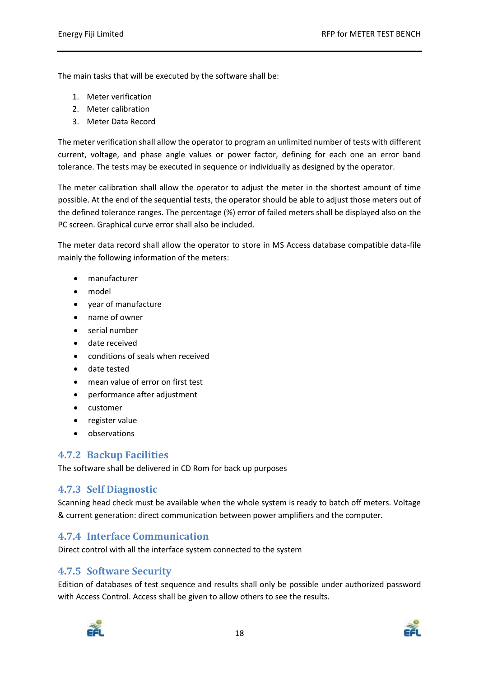The main tasks that will be executed by the software shall be:

- 1. Meter verification
- 2. Meter calibration
- 3. Meter Data Record

The meter verification shall allow the operator to program an unlimited number of tests with different current, voltage, and phase angle values or power factor, defining for each one an error band tolerance. The tests may be executed in sequence or individually as designed by the operator.

The meter calibration shall allow the operator to adjust the meter in the shortest amount of time possible. At the end of the sequential tests, the operator should be able to adjust those meters out of the defined tolerance ranges. The percentage (%) error of failed meters shall be displayed also on the PC screen. Graphical curve error shall also be included.

The meter data record shall allow the operator to store in MS Access database compatible data-file mainly the following information of the meters:

- manufacturer
- model
- year of manufacture
- name of owner
- serial number
- date received
- conditions of seals when received
- date tested
- mean value of error on first test
- performance after adjustment
- customer
- register value
- observations

#### <span id="page-17-0"></span>**4.7.2 Backup Facilities**

The software shall be delivered in CD Rom for back up purposes

#### <span id="page-17-1"></span>**4.7.3 Self Diagnostic**

Scanning head check must be available when the whole system is ready to batch off meters. Voltage & current generation: direct communication between power amplifiers and the computer.

#### <span id="page-17-2"></span>**4.7.4 Interface Communication**

Direct control with all the interface system connected to the system

#### <span id="page-17-3"></span>**4.7.5 Software Security**

Edition of databases of test sequence and results shall only be possible under authorized password with Access Control. Access shall be given to allow others to see the results.



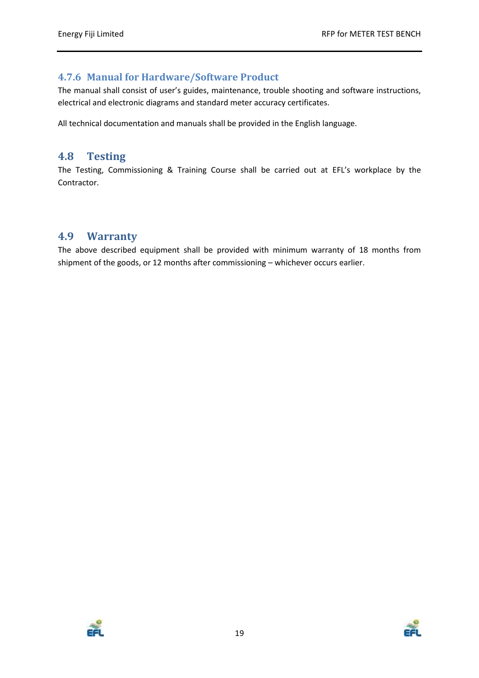#### <span id="page-18-0"></span>**4.7.6 Manual for Hardware/Software Product**

The manual shall consist of user's guides, maintenance, trouble shooting and software instructions, electrical and electronic diagrams and standard meter accuracy certificates.

All technical documentation and manuals shall be provided in the English language.

#### <span id="page-18-1"></span>**4.8 Testing**

The Testing, Commissioning & Training Course shall be carried out at EFL's workplace by the Contractor.

### <span id="page-18-2"></span>**4.9 Warranty**

The above described equipment shall be provided with minimum warranty of 18 months from shipment of the goods, or 12 months after commissioning – whichever occurs earlier.



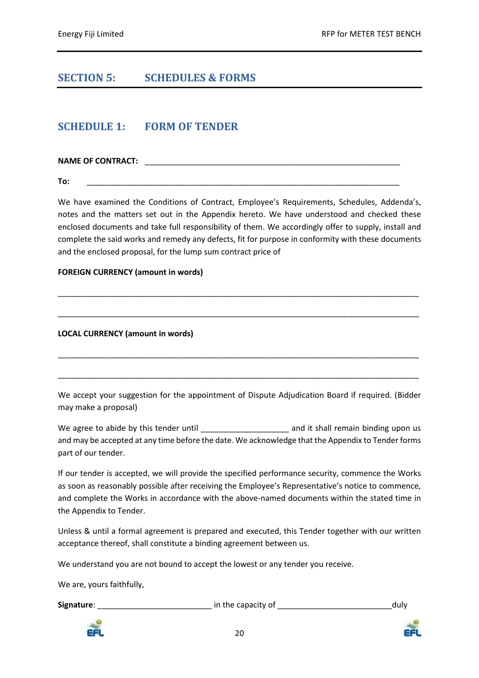## <span id="page-19-0"></span>**SECTION 5: SCHEDULES & FORMS**

### <span id="page-19-1"></span>**SCHEDULE 1: FORM OF TENDER**

**NAME OF CONTRACT:**  $\qquad \qquad \qquad$ 

**To:** \_\_\_\_\_\_\_\_\_\_\_\_\_\_\_\_\_\_\_\_\_\_\_\_\_\_\_\_\_\_\_\_\_\_\_\_\_\_\_\_\_\_\_\_\_\_\_\_\_\_\_\_\_\_\_\_\_\_\_\_\_\_\_\_\_\_\_\_\_\_\_

We have examined the Conditions of Contract, Employee's Requirements, Schedules, Addenda's, notes and the matters set out in the Appendix hereto. We have understood and checked these enclosed documents and take full responsibility of them. We accordingly offer to supply, install and complete the said works and remedy any defects, fit for purpose in conformity with these documents and the enclosed proposal, for the lump sum contract price of

\_\_\_\_\_\_\_\_\_\_\_\_\_\_\_\_\_\_\_\_\_\_\_\_\_\_\_\_\_\_\_\_\_\_\_\_\_\_\_\_\_\_\_\_\_\_\_\_\_\_\_\_\_\_\_\_\_\_\_\_\_\_\_\_\_\_\_\_\_\_\_\_\_\_\_\_\_\_\_\_\_\_

\_\_\_\_\_\_\_\_\_\_\_\_\_\_\_\_\_\_\_\_\_\_\_\_\_\_\_\_\_\_\_\_\_\_\_\_\_\_\_\_\_\_\_\_\_\_\_\_\_\_\_\_\_\_\_\_\_\_\_\_\_\_\_\_\_\_\_\_\_\_\_\_\_\_\_\_\_\_\_\_\_\_

\_\_\_\_\_\_\_\_\_\_\_\_\_\_\_\_\_\_\_\_\_\_\_\_\_\_\_\_\_\_\_\_\_\_\_\_\_\_\_\_\_\_\_\_\_\_\_\_\_\_\_\_\_\_\_\_\_\_\_\_\_\_\_\_\_\_\_\_\_\_\_\_\_\_\_\_\_\_\_\_\_\_

\_\_\_\_\_\_\_\_\_\_\_\_\_\_\_\_\_\_\_\_\_\_\_\_\_\_\_\_\_\_\_\_\_\_\_\_\_\_\_\_\_\_\_\_\_\_\_\_\_\_\_\_\_\_\_\_\_\_\_\_\_\_\_\_\_\_\_\_\_\_\_\_\_\_\_\_\_\_\_\_\_\_

#### **FOREIGN CURRENCY (amount in words)**

**LOCAL CURRENCY (amount in words)**

We accept your suggestion for the appointment of Dispute Adjudication Board if required. (Bidder may make a proposal)

We agree to abide by this tender until \_\_\_\_\_\_\_\_\_\_\_\_\_\_\_\_\_\_\_\_\_\_\_\_ and it shall remain binding upon us and may be accepted at any time before the date. We acknowledge that the Appendix to Tender forms part of our tender.

If our tender is accepted, we will provide the specified performance security, commence the Works as soon as reasonably possible after receiving the Employee's Representative's notice to commence, and complete the Works in accordance with the above-named documents within the stated time in the Appendix to Tender.

Unless & until a formal agreement is prepared and executed, this Tender together with our written acceptance thereof, shall constitute a binding agreement between us.

We understand you are not bound to accept the lowest or any tender you receive.

We are, yours faithfully,

**Signature:** <br> **Signature:** 
<br> **Signature:** 
<br>  $\frac{1}{2}$  in the capacity of  $\frac{1}{2}$  and  $\frac{1}{2}$  and  $\frac{1}{2}$  and  $\frac{1}{2}$  and  $\frac{1}{2}$  and  $\frac{1}{2}$  and  $\frac{1}{2}$  and  $\frac{1}{2}$  and  $\frac{1}{2}$  and  $\frac{1}{2}$  and  $\frac{1}{$ 



20

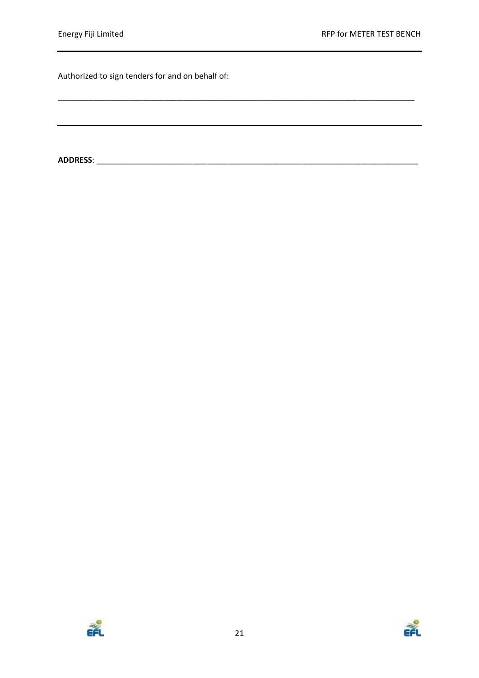\_\_\_\_\_\_\_\_\_\_\_\_\_\_\_\_\_\_\_\_\_\_\_\_\_\_\_\_\_\_\_\_\_\_\_\_\_\_\_\_\_\_\_\_\_\_\_\_\_\_\_\_\_\_\_\_\_\_\_\_\_\_\_\_\_\_\_\_\_\_\_\_\_\_\_\_\_\_\_\_\_

Authorized to sign tenders for and on behalf of:

**ADDRESS**: \_\_\_\_\_\_\_\_\_\_\_\_\_\_\_\_\_\_\_\_\_\_\_\_\_\_\_\_\_\_\_\_\_\_\_\_\_\_\_\_\_\_\_\_\_\_\_\_\_\_\_\_\_\_\_\_\_\_\_\_\_\_\_\_\_\_\_\_\_\_\_\_\_



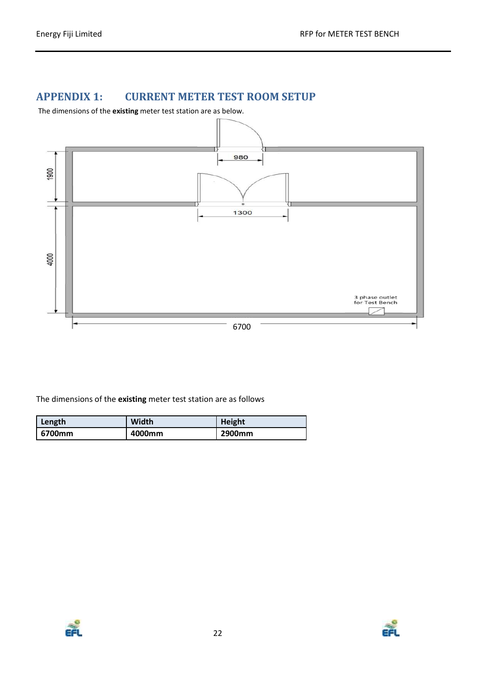# <span id="page-21-0"></span>**APPENDIX 1: CURRENT METER TEST ROOM SETUP**

The dimensions of the **existing** meter test station are as below.



The dimensions of the **existing** meter test station are as follows

| Length | <b>Width</b> | Height |
|--------|--------------|--------|
| 6700mm | 4000mm       | 2900mm |



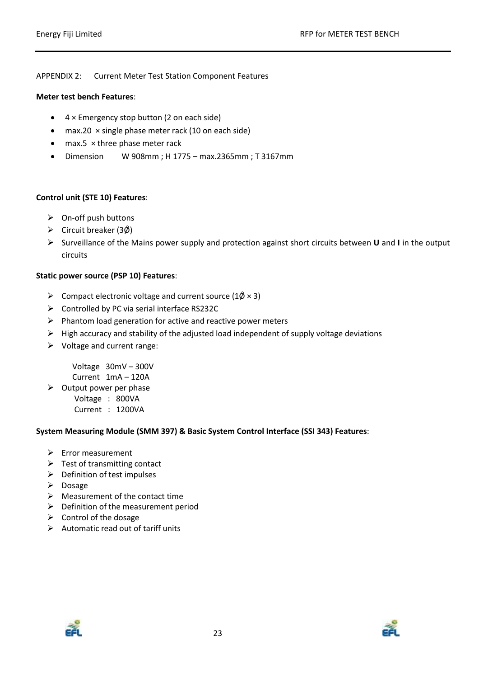#### APPENDIX 2: Current Meter Test Station Component Features

#### **Meter test bench Features**:

- $\bullet$  4 × Emergency stop button (2 on each side)
- $\bullet$  max.20  $\times$  single phase meter rack (10 on each side)
- $\bullet$  max.5  $\times$  three phase meter rack
- Dimension W 908mm ; H 1775 max.2365mm ; T 3167mm

#### **Control unit (STE 10) Features**:

- $\triangleright$  On-off push buttons
- $\triangleright$  Circuit breaker (3 $\varnothing$ )
- Surveillance of the Mains power supply and protection against short circuits between **U** and **I** in the output circuits

#### **Static power source (PSP 10) Features**:

- $\triangleright$  Compact electronic voltage and current source (1 $\emptyset \times 3$ )
- Controlled by PC via serial interface RS232C
- $\triangleright$  Phantom load generation for active and reactive power meters
- $\triangleright$  High accuracy and stability of the adjusted load independent of supply voltage deviations
- $\triangleright$  Voltage and current range:

 Voltage 30mV – 300V Current 1mA – 120A

 $\triangleright$  Output power per phase Voltage : 800VA

Current : 1200VA

#### **System Measuring Module (SMM 397) & Basic System Control Interface (SSI 343) Features**:

- $\triangleright$  Error measurement
- $\triangleright$  Test of transmitting contact
- $\triangleright$  Definition of test impulses
- $\triangleright$  Dosage
- $\triangleright$  Measurement of the contact time
- $\triangleright$  Definition of the measurement period
- $\triangleright$  Control of the dosage
- $\triangleright$  Automatic read out of tariff units



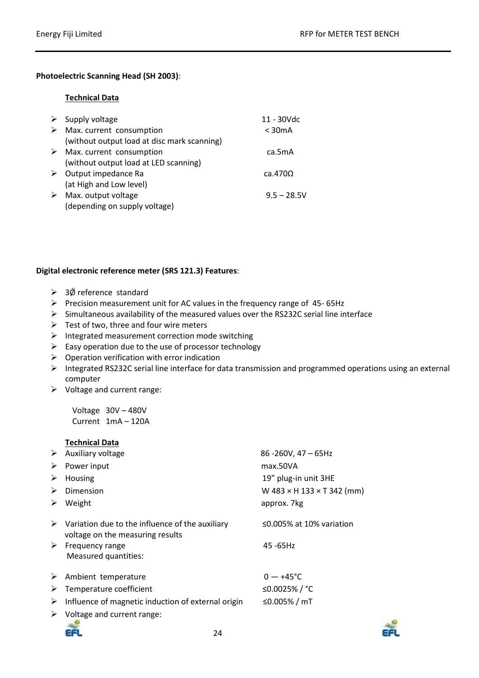#### **Photoelectric Scanning Head (SH 2003)**:

#### **Technical Data**

| ➤ | Supply voltage                              | 11 - 30Vdc      |
|---|---------------------------------------------|-----------------|
|   | $\triangleright$ Max. current consumption   | $<$ 30 $mA$     |
|   | (without output load at disc mark scanning) |                 |
|   | $\triangleright$ Max. current consumption   | ca.5mA          |
|   | (without output load at LED scanning)       |                 |
| ➤ | Output impedance Ra                         | ca.470 $\Omega$ |
|   | (at High and Low level)                     |                 |
| ➤ | Max. output voltage                         | $9.5 - 28.5V$   |
|   | (depending on supply voltage)               |                 |

#### **Digital electronic reference meter (SRS 121.3) Features**:

- $\geq$  3 $\emptyset$  reference standard
- Precision measurement unit for AC values in the frequency range of  $45-65$ Hz
- $\triangleright$  Simultaneous availability of the measured values over the RS232C serial line interface
- $\triangleright$  Test of two, three and four wire meters
- $\triangleright$  Integrated measurement correction mode switching
- $\triangleright$  Easy operation due to the use of processor technology
- $\triangleright$  Operation verification with error indication
- Integrated RS232C serial line interface for data transmission and programmed operations using an external computer
- $\triangleright$  Voltage and current range:

 Voltage 30V – 480V Current 1mA – 120A

|   | <b>Technical Data</b>                                                               |                                          |
|---|-------------------------------------------------------------------------------------|------------------------------------------|
| ➤ | Auxiliary voltage                                                                   | $86 - 260V$ , 47 – 65Hz                  |
| ➤ | Power input                                                                         | max.50VA                                 |
| ➤ | Housing                                                                             | 19" plug-in unit 3HE                     |
| ➤ | Dimension                                                                           | W $483 \times H$ 133 $\times$ T 342 (mm) |
| ➤ | Weight                                                                              | approx. 7kg                              |
| ➤ | Variation due to the influence of the auxiliary<br>voltage on the measuring results | $\leq$ 0.005% at 10% variation           |
| ➤ | Frequency range<br>Measured quantities:                                             | $45 - 65$ Hz                             |
| ➤ | Ambient temperature                                                                 | $0 - +45$ °C                             |
| ➤ | Temperature coefficient                                                             | ≤0.0025%/°C                              |
| ➤ | Influence of magnetic induction of external origin                                  | ≤0.005% / mT                             |
| ➤ | Voltage and current range:                                                          |                                          |

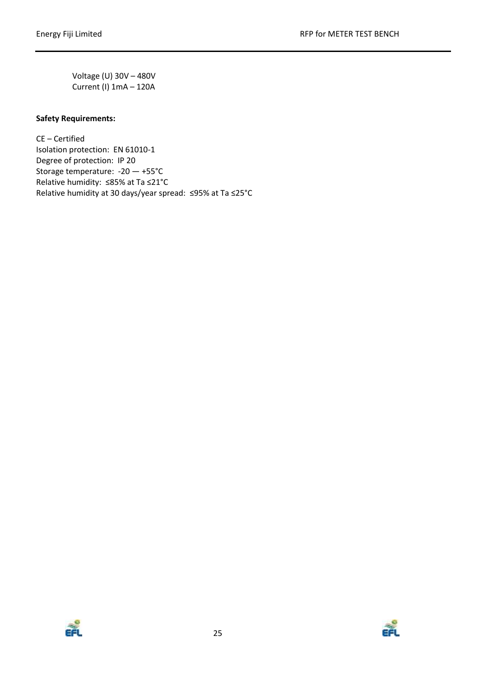Voltage (U) 30V – 480V Current (I) 1mA – 120A

#### **Safety Requirements:**

CE – Certified Isolation protection: EN 61010-1 Degree of protection: IP 20 Storage temperature: -20 — +55°C Relative humidity: ≤85% at Ta ≤21°C Relative humidity at 30 days/year spread: ≤95% at Ta ≤25°C



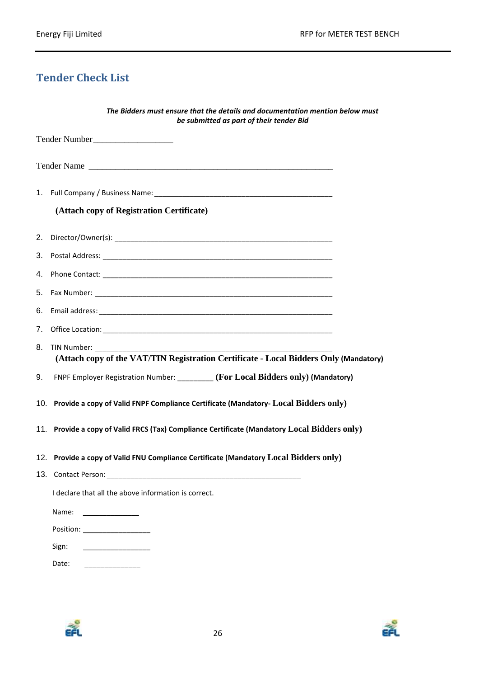# <span id="page-25-0"></span>**Tender Check List**

| The Bidders must ensure that the details and documentation mention below must<br>be submitted as part of their tender Bid |  |
|---------------------------------------------------------------------------------------------------------------------------|--|
| Tender Number                                                                                                             |  |
| Tender Name                                                                                                               |  |
|                                                                                                                           |  |
| (Attach copy of Registration Certificate)                                                                                 |  |
|                                                                                                                           |  |
|                                                                                                                           |  |
|                                                                                                                           |  |
|                                                                                                                           |  |
| 6.                                                                                                                        |  |
|                                                                                                                           |  |
| 8.<br>TIN Number: TIN Number:<br>(Attach copy of the VAT/TIN Registration Certificate - Local Bidders Only (Mandatory)    |  |
| FNPF Employer Registration Number: _________ (For Local Bidders only) (Mandatory)<br>9.                                   |  |
| 10. Provide a copy of Valid FNPF Compliance Certificate (Mandatory- Local Bidders only)                                   |  |
| 11. Provide a copy of Valid FRCS (Tax) Compliance Certificate (Mandatory Local Bidders only)                              |  |
| 12. Provide a copy of Valid FNU Compliance Certificate (Mandatory Local Bidders only)                                     |  |
| 13. Contact Person:                                                                                                       |  |
| I declare that all the above information is correct.                                                                      |  |
| Name:                                                                                                                     |  |
|                                                                                                                           |  |
| Sign:                                                                                                                     |  |
| Date:                                                                                                                     |  |